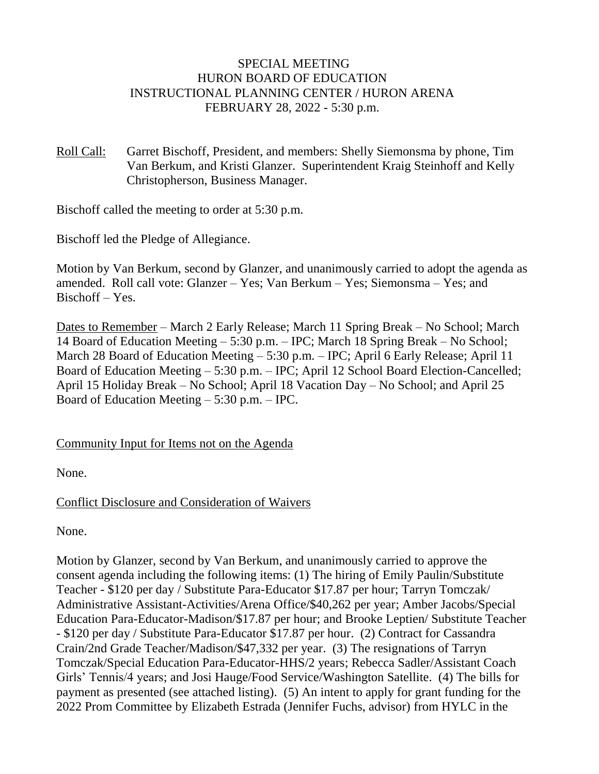### SPECIAL MEETING HURON BOARD OF EDUCATION INSTRUCTIONAL PLANNING CENTER / HURON ARENA FEBRUARY 28, 2022 - 5:30 p.m.

Roll Call: Garret Bischoff, President, and members: Shelly Siemonsma by phone, Tim Van Berkum, and Kristi Glanzer. Superintendent Kraig Steinhoff and Kelly Christopherson, Business Manager.

Bischoff called the meeting to order at 5:30 p.m.

Bischoff led the Pledge of Allegiance.

Motion by Van Berkum, second by Glanzer, and unanimously carried to adopt the agenda as amended. Roll call vote: Glanzer – Yes; Van Berkum – Yes; Siemonsma – Yes; and Bischoff – Yes.

Dates to Remember – March 2 Early Release; March 11 Spring Break – No School; March 14 Board of Education Meeting – 5:30 p.m. – IPC; March 18 Spring Break – No School; March 28 Board of Education Meeting – 5:30 p.m. – IPC; April 6 Early Release; April 11 Board of Education Meeting – 5:30 p.m. – IPC; April 12 School Board Election-Cancelled; April 15 Holiday Break – No School; April 18 Vacation Day – No School; and April 25 Board of Education Meeting – 5:30 p.m. – IPC.

## Community Input for Items not on the Agenda

None.

Conflict Disclosure and Consideration of Waivers

None.

Motion by Glanzer, second by Van Berkum, and unanimously carried to approve the consent agenda including the following items: (1) The hiring of Emily Paulin/Substitute Teacher - \$120 per day / Substitute Para-Educator \$17.87 per hour; Tarryn Tomczak/ Administrative Assistant-Activities/Arena Office/\$40,262 per year; Amber Jacobs/Special Education Para-Educator-Madison/\$17.87 per hour; and Brooke Leptien/ Substitute Teacher - \$120 per day / Substitute Para-Educator \$17.87 per hour. (2) Contract for Cassandra Crain/2nd Grade Teacher/Madison/\$47,332 per year. (3) The resignations of Tarryn Tomczak/Special Education Para-Educator-HHS/2 years; Rebecca Sadler/Assistant Coach Girls' Tennis/4 years; and Josi Hauge/Food Service/Washington Satellite. (4) The bills for payment as presented (see attached listing). (5) An intent to apply for grant funding for the 2022 Prom Committee by Elizabeth Estrada (Jennifer Fuchs, advisor) from HYLC in the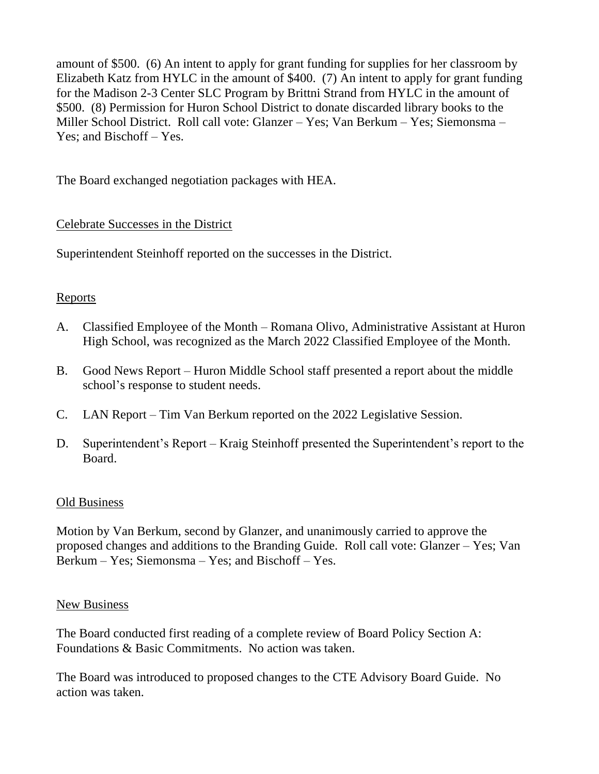amount of \$500. (6) An intent to apply for grant funding for supplies for her classroom by Elizabeth Katz from HYLC in the amount of \$400. (7) An intent to apply for grant funding for the Madison 2-3 Center SLC Program by Brittni Strand from HYLC in the amount of \$500. (8) Permission for Huron School District to donate discarded library books to the Miller School District. Roll call vote: Glanzer – Yes; Van Berkum – Yes; Siemonsma – Yes; and Bischoff – Yes.

The Board exchanged negotiation packages with HEA.

# Celebrate Successes in the District

Superintendent Steinhoff reported on the successes in the District.

# **Reports**

- A. Classified Employee of the Month Romana Olivo, Administrative Assistant at Huron High School, was recognized as the March 2022 Classified Employee of the Month.
- B. Good News Report Huron Middle School staff presented a report about the middle school's response to student needs.
- C. LAN Report Tim Van Berkum reported on the 2022 Legislative Session.
- D. Superintendent's Report Kraig Steinhoff presented the Superintendent's report to the Board.

## Old Business

Motion by Van Berkum, second by Glanzer, and unanimously carried to approve the proposed changes and additions to the Branding Guide. Roll call vote: Glanzer – Yes; Van Berkum – Yes; Siemonsma – Yes; and Bischoff – Yes.

## New Business

The Board conducted first reading of a complete review of Board Policy Section A: Foundations & Basic Commitments. No action was taken.

The Board was introduced to proposed changes to the CTE Advisory Board Guide. No action was taken.